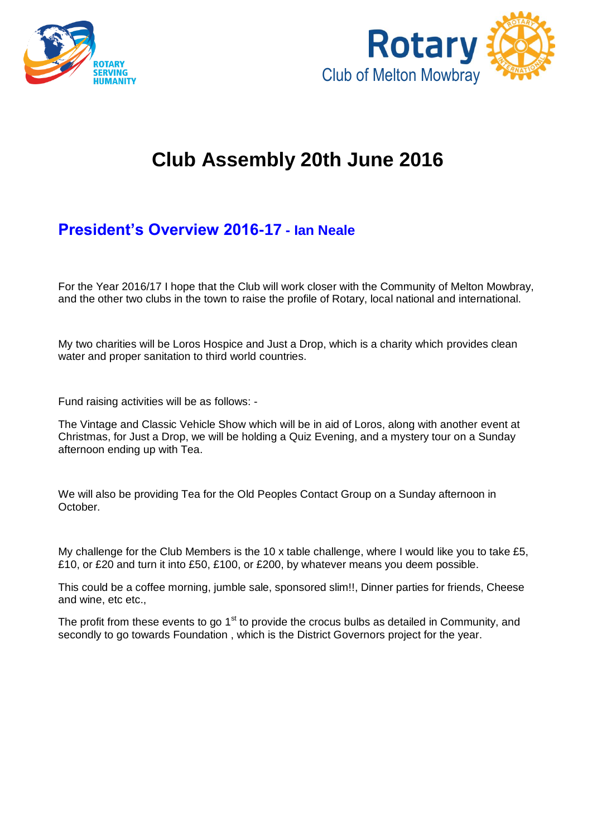



# **Club Assembly 20th June 2016**

# **President's Overview 2016-17 - Ian Neale**

For the Year 2016/17 I hope that the Club will work closer with the Community of Melton Mowbray, and the other two clubs in the town to raise the profile of Rotary, local national and international.

My two charities will be Loros Hospice and Just a Drop, which is a charity which provides clean water and proper sanitation to third world countries.

Fund raising activities will be as follows: -

The Vintage and Classic Vehicle Show which will be in aid of Loros, along with another event at Christmas, for Just a Drop, we will be holding a Quiz Evening, and a mystery tour on a Sunday afternoon ending up with Tea.

We will also be providing Tea for the Old Peoples Contact Group on a Sunday afternoon in October.

My challenge for the Club Members is the 10 x table challenge, where I would like you to take £5, £10, or £20 and turn it into £50, £100, or £200, by whatever means you deem possible.

This could be a coffee morning, jumble sale, sponsored slim!!, Dinner parties for friends, Cheese and wine, etc etc.,

The profit from these events to go  $1<sup>st</sup>$  to provide the crocus bulbs as detailed in Community, and secondly to go towards Foundation , which is the District Governors project for the year.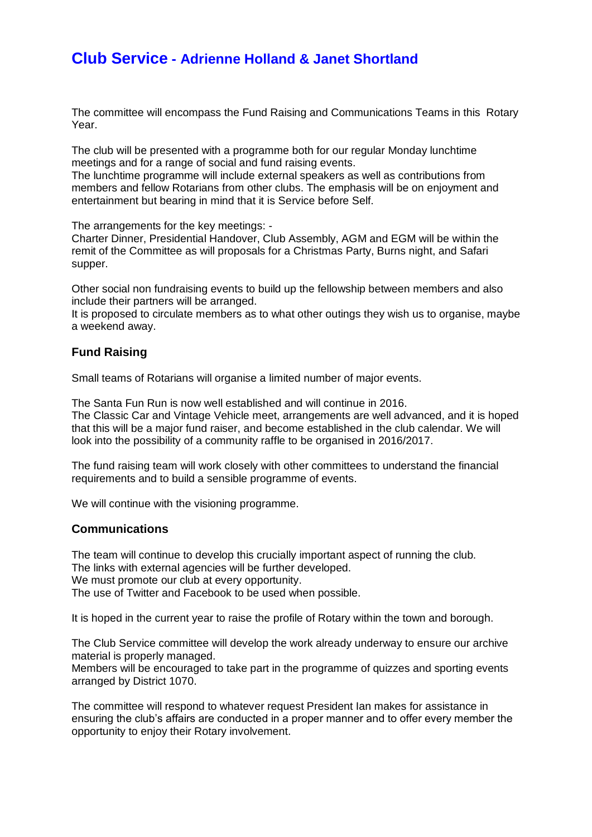# **Club Service - Adrienne Holland & Janet Shortland**

The committee will encompass the Fund Raising and Communications Teams in this Rotary Year.

The club will be presented with a programme both for our regular Monday lunchtime meetings and for a range of social and fund raising events.

The lunchtime programme will include external speakers as well as contributions from members and fellow Rotarians from other clubs. The emphasis will be on enjoyment and entertainment but bearing in mind that it is Service before Self.

The arrangements for the key meetings: -

Charter Dinner, Presidential Handover, Club Assembly, AGM and EGM will be within the remit of the Committee as will proposals for a Christmas Party, Burns night, and Safari supper.

Other social non fundraising events to build up the fellowship between members and also include their partners will be arranged.

It is proposed to circulate members as to what other outings they wish us to organise, maybe a weekend away.

### **Fund Raising**

Small teams of Rotarians will organise a limited number of major events.

The Santa Fun Run is now well established and will continue in 2016. The Classic Car and Vintage Vehicle meet, arrangements are well advanced, and it is hoped that this will be a major fund raiser, and become established in the club calendar. We will look into the possibility of a community raffle to be organised in 2016/2017.

The fund raising team will work closely with other committees to understand the financial requirements and to build a sensible programme of events.

We will continue with the visioning programme.

#### **Communications**

The team will continue to develop this crucially important aspect of running the club. The links with external agencies will be further developed. We must promote our club at every opportunity. The use of Twitter and Facebook to be used when possible.

It is hoped in the current year to raise the profile of Rotary within the town and borough.

The Club Service committee will develop the work already underway to ensure our archive material is properly managed.

Members will be encouraged to take part in the programme of quizzes and sporting events arranged by District 1070.

The committee will respond to whatever request President Ian makes for assistance in ensuring the club's affairs are conducted in a proper manner and to offer every member the opportunity to enjoy their Rotary involvement.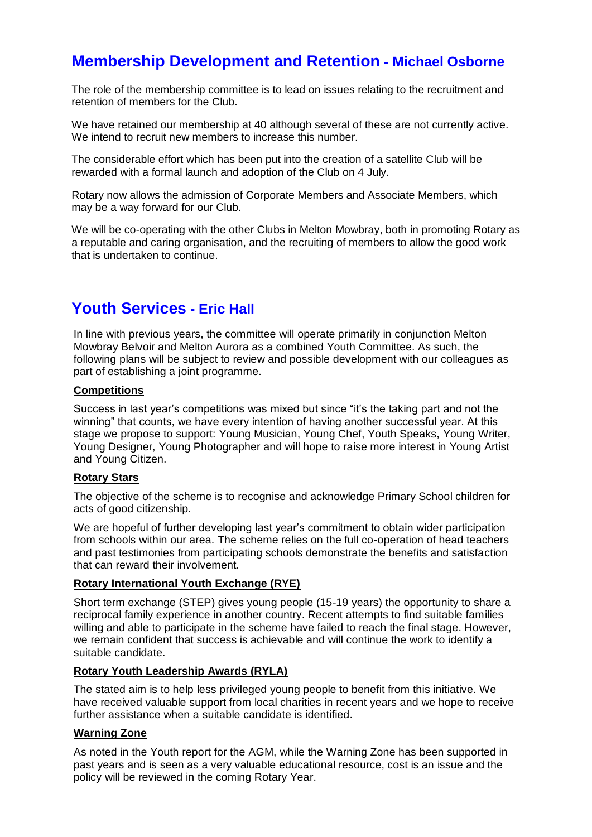# **Membership Development and Retention - Michael Osborne**

The role of the membership committee is to lead on issues relating to the recruitment and retention of members for the Club.

We have retained our membership at 40 although several of these are not currently active. We intend to recruit new members to increase this number.

The considerable effort which has been put into the creation of a satellite Club will be rewarded with a formal launch and adoption of the Club on 4 July.

Rotary now allows the admission of Corporate Members and Associate Members, which may be a way forward for our Club.

We will be co-operating with the other Clubs in Melton Mowbray, both in promoting Rotary as a reputable and caring organisation, and the recruiting of members to allow the good work that is undertaken to continue.

# **Youth Services - Eric Hall**

In line with previous years, the committee will operate primarily in conjunction Melton Mowbray Belvoir and Melton Aurora as a combined Youth Committee. As such, the following plans will be subject to review and possible development with our colleagues as part of establishing a joint programme.

### **Competitions**

Success in last year's competitions was mixed but since "it's the taking part and not the winning" that counts, we have every intention of having another successful year. At this stage we propose to support: Young Musician, Young Chef, Youth Speaks, Young Writer, Young Designer, Young Photographer and will hope to raise more interest in Young Artist and Young Citizen.

### **Rotary Stars**

The objective of the scheme is to recognise and acknowledge Primary School children for acts of good citizenship.

We are hopeful of further developing last year's commitment to obtain wider participation from schools within our area. The scheme relies on the full co-operation of head teachers and past testimonies from participating schools demonstrate the benefits and satisfaction that can reward their involvement.

#### **Rotary International Youth Exchange (RYE)**

Short term exchange (STEP) gives young people (15-19 years) the opportunity to share a reciprocal family experience in another country. Recent attempts to find suitable families willing and able to participate in the scheme have failed to reach the final stage. However, we remain confident that success is achievable and will continue the work to identify a suitable candidate.

#### **Rotary Youth Leadership Awards (RYLA)**

The stated aim is to help less privileged young people to benefit from this initiative. We have received valuable support from local charities in recent years and we hope to receive further assistance when a suitable candidate is identified.

#### **Warning Zone**

As noted in the Youth report for the AGM, while the Warning Zone has been supported in past years and is seen as a very valuable educational resource, cost is an issue and the policy will be reviewed in the coming Rotary Year.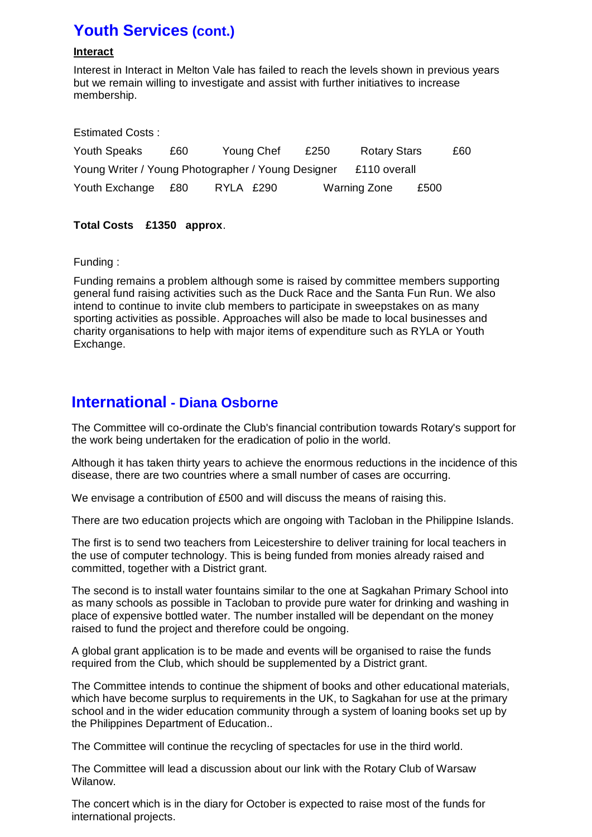# **Youth Services (cont.)**

### **Interact**

Interest in Interact in Melton Vale has failed to reach the levels shown in previous years but we remain willing to investigate and assist with further initiatives to increase membership.

| <b>Estimated Costs:</b>                                            |     |            |  |      |                     |      |     |
|--------------------------------------------------------------------|-----|------------|--|------|---------------------|------|-----|
| Youth Speaks                                                       | £60 | Young Chef |  | £250 | <b>Rotary Stars</b> |      | £60 |
| Young Writer / Young Photographer / Young Designer<br>£110 overall |     |            |  |      |                     |      |     |
| Youth Exchange                                                     | £80 | RYLA £290  |  |      | <b>Warning Zone</b> | £500 |     |

## **Total Costs £1350 approx**.

### Funding :

Funding remains a problem although some is raised by committee members supporting general fund raising activities such as the Duck Race and the Santa Fun Run. We also intend to continue to invite club members to participate in sweepstakes on as many sporting activities as possible. Approaches will also be made to local businesses and charity organisations to help with major items of expenditure such as RYLA or Youth Exchange.

# **International - Diana Osborne**

The Committee will co-ordinate the Club's financial contribution towards Rotary's support for the work being undertaken for the eradication of polio in the world.

Although it has taken thirty years to achieve the enormous reductions in the incidence of this disease, there are two countries where a small number of cases are occurring.

We envisage a contribution of £500 and will discuss the means of raising this.

There are two education projects which are ongoing with Tacloban in the Philippine Islands.

The first is to send two teachers from Leicestershire to deliver training for local teachers in the use of computer technology. This is being funded from monies already raised and committed, together with a District grant.

The second is to install water fountains similar to the one at Sagkahan Primary School into as many schools as possible in Tacloban to provide pure water for drinking and washing in place of expensive bottled water. The number installed will be dependant on the money raised to fund the project and therefore could be ongoing.

A global grant application is to be made and events will be organised to raise the funds required from the Club, which should be supplemented by a District grant.

The Committee intends to continue the shipment of books and other educational materials, which have become surplus to requirements in the UK, to Sagkahan for use at the primary school and in the wider education community through a system of loaning books set up by the Philippines Department of Education..

The Committee will continue the recycling of spectacles for use in the third world.

The Committee will lead a discussion about our link with the Rotary Club of Warsaw Wilanow.

The concert which is in the diary for October is expected to raise most of the funds for international projects.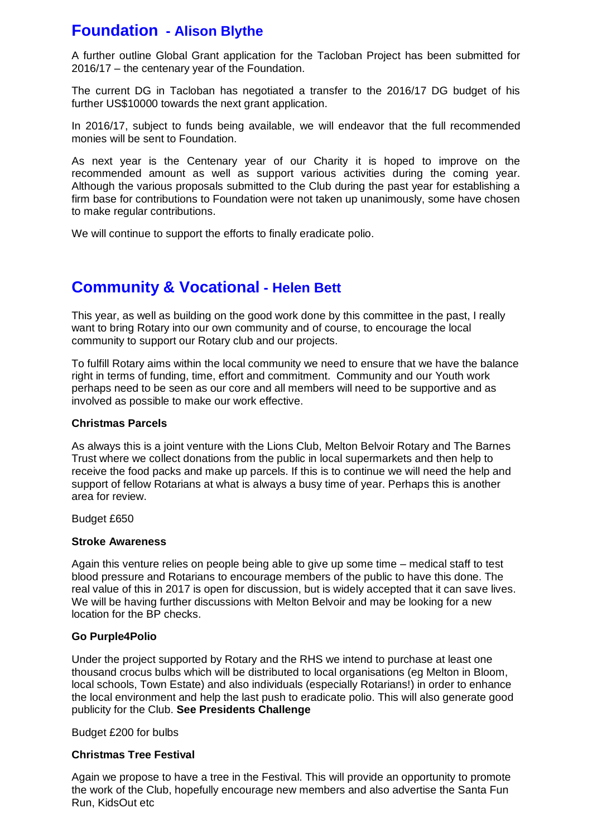# **Foundation - Alison Blythe**

A further outline Global Grant application for the Tacloban Project has been submitted for 2016/17 – the centenary year of the Foundation.

The current DG in Tacloban has negotiated a transfer to the 2016/17 DG budget of his further US\$10000 towards the next grant application.

In 2016/17, subject to funds being available, we will endeavor that the full recommended monies will be sent to Foundation.

As next year is the Centenary year of our Charity it is hoped to improve on the recommended amount as well as support various activities during the coming year. Although the various proposals submitted to the Club during the past year for establishing a firm base for contributions to Foundation were not taken up unanimously, some have chosen to make regular contributions.

We will continue to support the efforts to finally eradicate polio.

# **Community & Vocational - Helen Bett**

This year, as well as building on the good work done by this committee in the past, I really want to bring Rotary into our own community and of course, to encourage the local community to support our Rotary club and our projects.

To fulfill Rotary aims within the local community we need to ensure that we have the balance right in terms of funding, time, effort and commitment. Community and our Youth work perhaps need to be seen as our core and all members will need to be supportive and as involved as possible to make our work effective.

### **Christmas Parcels**

As always this is a joint venture with the Lions Club, Melton Belvoir Rotary and The Barnes Trust where we collect donations from the public in local supermarkets and then help to receive the food packs and make up parcels. If this is to continue we will need the help and support of fellow Rotarians at what is always a busy time of year. Perhaps this is another area for review.

Budget £650

### **Stroke Awareness**

Again this venture relies on people being able to give up some time – medical staff to test blood pressure and Rotarians to encourage members of the public to have this done. The real value of this in 2017 is open for discussion, but is widely accepted that it can save lives. We will be having further discussions with Melton Belvoir and may be looking for a new location for the BP checks.

### **Go Purple4Polio**

Under the project supported by Rotary and the RHS we intend to purchase at least one thousand crocus bulbs which will be distributed to local organisations (eg Melton in Bloom, local schools, Town Estate) and also individuals (especially Rotarians!) in order to enhance the local environment and help the last push to eradicate polio. This will also generate good publicity for the Club. **See Presidents Challenge**

Budget £200 for bulbs

### **Christmas Tree Festival**

Again we propose to have a tree in the Festival. This will provide an opportunity to promote the work of the Club, hopefully encourage new members and also advertise the Santa Fun Run, KidsOut etc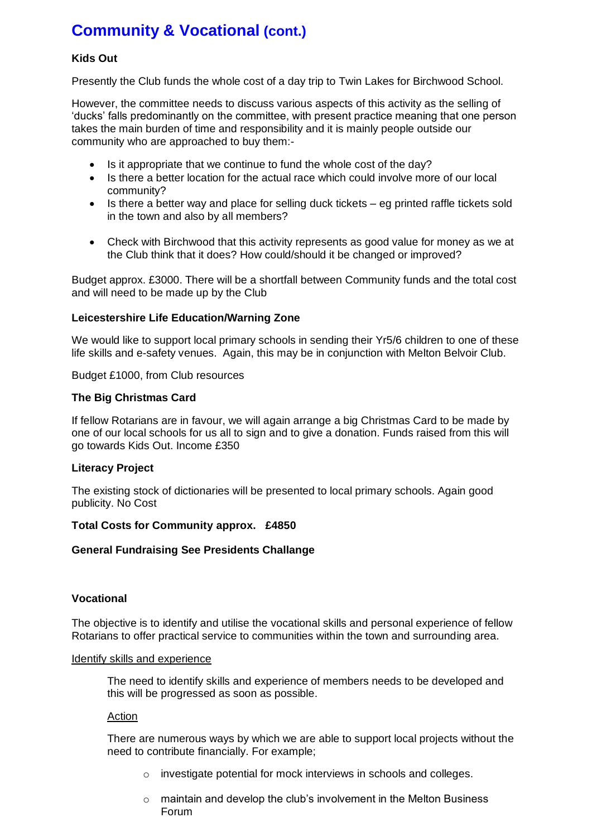# **Community & Vocational (cont.)**

# **Kids Out**

Presently the Club funds the whole cost of a day trip to Twin Lakes for Birchwood School.

However, the committee needs to discuss various aspects of this activity as the selling of 'ducks' falls predominantly on the committee, with present practice meaning that one person takes the main burden of time and responsibility and it is mainly people outside our community who are approached to buy them:-

- Is it appropriate that we continue to fund the whole cost of the day?
- Is there a better location for the actual race which could involve more of our local community?
- $\bullet$  Is there a better way and place for selling duck tickets eg printed raffle tickets sold in the town and also by all members?
- Check with Birchwood that this activity represents as good value for money as we at the Club think that it does? How could/should it be changed or improved?

Budget approx. £3000. There will be a shortfall between Community funds and the total cost and will need to be made up by the Club

### **Leicestershire Life Education/Warning Zone**

We would like to support local primary schools in sending their Yr5/6 children to one of these life skills and e-safety venues. Again, this may be in conjunction with Melton Belvoir Club.

Budget £1000, from Club resources

### **The Big Christmas Card**

If fellow Rotarians are in favour, we will again arrange a big Christmas Card to be made by one of our local schools for us all to sign and to give a donation. Funds raised from this will go towards Kids Out. Income £350

#### **Literacy Project**

The existing stock of dictionaries will be presented to local primary schools. Again good publicity. No Cost

#### **Total Costs for Community approx. £4850**

#### **General Fundraising See Presidents Challange**

### **Vocational**

The objective is to identify and utilise the vocational skills and personal experience of fellow Rotarians to offer practical service to communities within the town and surrounding area.

#### Identify skills and experience

The need to identify skills and experience of members needs to be developed and this will be progressed as soon as possible.

#### Action

There are numerous ways by which we are able to support local projects without the need to contribute financially. For example;

- o investigate potential for mock interviews in schools and colleges.
- o maintain and develop the club's involvement in the Melton Business Forum